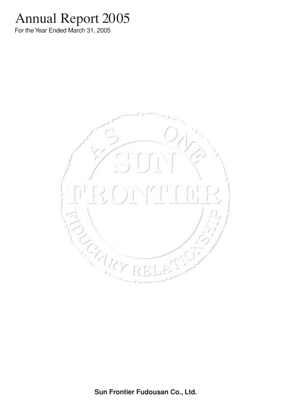# Annual Report 2005

For the Year Ended March 31, 2005

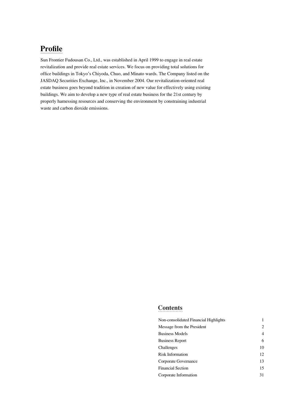# **Profile**

Sun Frontier Fudousan Co., Ltd., was established in April 1999 to engage in real estate revitalization and provide real estate services. We focus on providing total solutions for office buildings in Tokyo's Chiyoda, Chuo, and Minato wards. The Company listed on the JASDAQ Securities Exchange, Inc., in November 2004. Our revitalization-oriented real estate business goes beyond tradition in creation of new value for effectively using existing buildings. We aim to develop a new type of real estate business for the 21st century by properly harnessing resources and conserving the environment by constraining industrial waste and carbon dioxide emissions.

# **Contents**

| Non-consolidated Financial Highlights |                |
|---------------------------------------|----------------|
| Message from the President            | 2              |
| <b>Business Models</b>                | $\overline{4}$ |
| <b>Business Report</b>                | 6              |
| Challenges                            | 10             |
| Risk Information                      | 12             |
| Corporate Governance                  | 13             |
| <b>Financial Section</b>              | 15             |
| Corporate Information                 | 31             |
|                                       |                |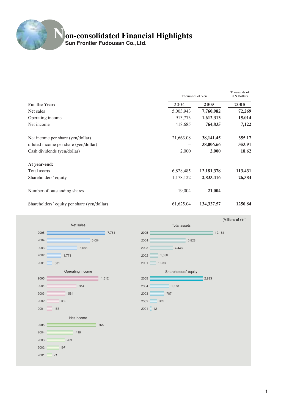# **Non-consolidated Financial Highlights**

**Sun Frontier Fudousan Co.,Ltd.**

|                                             | Thousands of Yen | Thousands of<br><b>U.S Dollars</b> |         |
|---------------------------------------------|------------------|------------------------------------|---------|
| For the Year:                               | 2004             | 2005                               | 2005    |
| Net sales                                   | 5,003,943        | 7,760,982                          | 72,269  |
| Operating income                            | 913,773          | 1,612,313                          | 15,014  |
| Net income                                  | 418,685          | 764,835                            | 7,122   |
| Net income per share (yen/dollar)           | 21,663.08        | 38, 141. 45                        | 355.17  |
| diluted income per share (yen/dollar)       |                  | 38,006.66                          | 353.91  |
| Cash dividends (yen/dollar)                 | 2,000            | 2,000                              | 18.62   |
| At year-end:                                |                  |                                    |         |
| Total assets                                | 6,828,485        | 12, 181, 378                       | 113,431 |
| Shareholders' equity                        | 1,178,122        | 2,833,416                          | 26,384  |
| Number of outstanding shares                | 19,004           | 21,004                             |         |
| Shareholders' equity per share (yen/dollar) | 61,625.04        | 134, 327.57                        | 1250.84 |





(Millions of yen)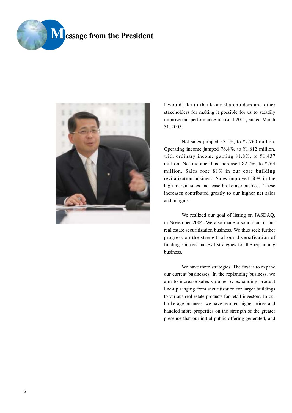



I would like to thank our shareholders and other stakeholders for making it possible for us to steadily improve our performance in fiscal 2005, ended March 31, 2005.

Net sales jumped 55.1%, to ¥7,760 million. Operating income jumped 76.4%, to ¥1,612 million, with ordinary income gaining 81.8%, to ¥1,437 million. Net income thus increased 82.7%, to ¥764 million. Sales rose 81% in our core building revitalization business. Sales improved 50% in the high-margin sales and lease brokerage business. These increases contributed greatly to our higher net sales and margins.

We realized our goal of listing on JASDAQ, in November 2004. We also made a solid start in our real estate securitization business. We thus seek further progress on the strength of our diversification of funding sources and exit strategies for the replanning business.

We have three strategies. The first is to expand our current businesses. In the replanning business, we aim to increase sales volume by expanding product line-up ranging from securitization for larger buildings to various real estate products for retail investors. In our brokerage business, we have secured higher prices and handled more properties on the strength of the greater presence that our initial public offering generated, and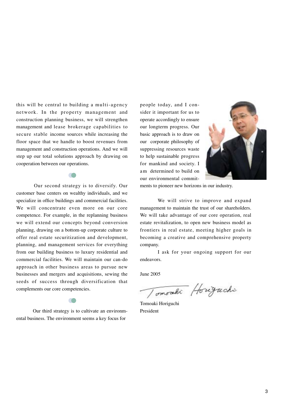this will be central to building a multi-agency network. In the property management and construction planning business, we will strengthen management and lease brokerage capabilities to secure stable income sources while increasing the floor space that we handle to boost revenues from management and construction operations. And we will step up our total solutions approach by drawing on cooperation between our operations.

Our second strategy is to diversify. Our customer base centers on wealthy individuals, and we specialize in office buildings and commercial facilities. We will concentrate even more on our core competence. For example, in the replanning business we will extend our concepts beyond conversion planning, drawing on a bottom-up corporate culture to offer real estate securitization and development, planning, and management services for everything from our building business to luxury residential and commercial facilities. We will maintain our can-do approach in other business areas to pursue new businesses and mergers and acquisitions, sewing the seeds of success through diversification that complements our core competencies.

Our third strategy is to cultivate an environmental business. The environment seems a key focus for

people today, and I consider it important for us to operate accordingly to ensure our longterm progress. Our basic approach is to draw on our corporate philosophy of suppressing resources waste to help sustainable progress for mankind and society. I am determined to build on our environmental commit-



ments to pioneer new horizons in our industry.

We will strive to improve and expand management to maintain the trust of our shareholders. We will take advantage of our core operation, real estate revitalization, to open new business model as frontiers in real estate, meeting higher goals in becoming a creative and comprehensive property company.

I ask for your ongoing support for our endeavors.

June 2005

Tomoraki Horizachi

Tomoaki Horiguchi President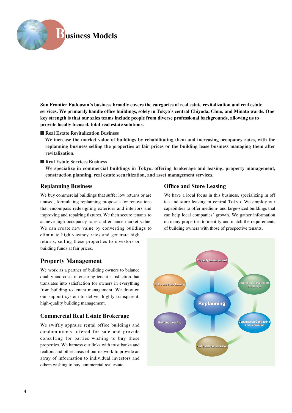

**Sun Frontier Fudousan's business broadly covers the categories of real estate revitalization and real estate services. We primarily handle office buildings, solely in Tokyo's central Chiyoda, Chuo, and Minato wards. One key strength is that our sales teams include people from diverse professional backgrounds, allowing us to provide locally focused, total real estate solutions.** 

■ **Real Estate Revitalization Business** 

**We increase the market value of buildings by rehabilitating them and increasing occupancy rates, with the replanning business selling the properties at fair prices or the building lease business managing them after revitalization.** 

#### ■ **Real Estate Services Business**

**We specialize in commercial buildings in Tokyo, offering brokerage and leasing, property management, construction planning, real estate securitization, and asset management services.** 

# **Replanning Business**

We buy commercial buildings that suffer low returns or are unused, formulating replanning proposals for renovations that encompass redesigning exteriors and interiors and improving and repairing fixtures. We then secure tenants to achieve high occupancy rates and enhance market value. We can create new value by converting buildings to eliminate high vacancy rates and generate high returns, selling these properties to investors or building funds at fair prices.

# **Property Management**

We work as a partner of building owners to balance quality and costs in ensuring tenant satisfaction that translates into satisfaction for owners in everything from building to tenant management. We draw on our support system to deliver highly transparent, high-quality building management.

# **Commercial Real Estate Brokerage**

We swiftly appraise rental office buildings and condominiums offered for sale and provide consulting for parties wishing to buy these properties. We harness our links with trust banks and realtors and other areas of our network to provide an array of information to individual investors and others wishing to buy commercial real estate.

# **Office and Store Leasing**

We have a local focus in this business, specializing in off ice and store leasing in central Tokyo. We employ our capabilities to offer medium- and large-sized buildings that can help local companies' growth. We gather information on many properties to identify and match the requirements of building owners with those of prospective tenants.

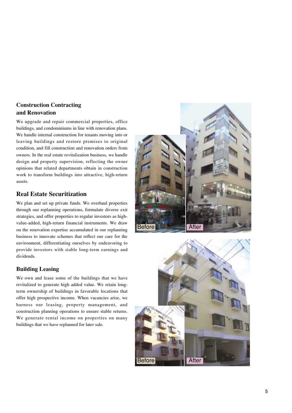# **Construction Contracting and Renovation**

We upgrade and repair commercial properties, office buildings, and condominiums in line with renovation plans. We handle internal construction for tenants moving into or leaving buildings and restore premises to original condition, and fill construction and renovation orders from owners. In the real estate revitalization business, we handle design and property supervision, reflecting the owner opinions that related departments obtain in construction work to transform buildings into attractive, high-return assets.

# **Real Estate Securitization**

We plan and set up private funds. We overhaul properties through our replanning operations, formulate diverse exit strategies, and offer properties to regular investors as highvalue-added, high-return financial instruments. We draw on the renovation expertise accumulated in our replanning business to innovate schemes that reflect our care for the environment, differentiating ourselves by endeavoring to provide investors with stable long-term earnings and dividends.

# **Building Leasing**

We own and lease some of the buildings that we have revitalized to generate high added value. We retain longterm ownership of buildings in favorable locations that offer high prospective income. When vacancies arise, we harness our leasing, property management, and construction planning operations to ensure stable returns. We generate rental income on properties on many buildings that we have replanned for later sale.



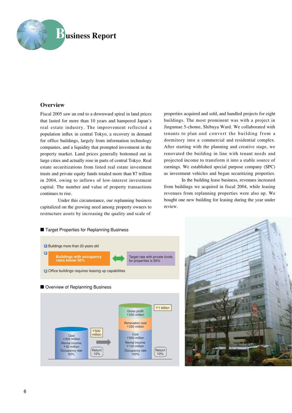

# **Overview**

Fiscal 2005 saw an end to a downward spiral in land prices that lasted for more than 10 years and hampered Japan's real estate industry. The improvement reflected a population influx in central Tokyo, a recovery in demand for office buildings, largely from information technology companies, and a liquidity that prompted investment in the property market. Land prices generally bottomed out in large cities and actually rose in parts of central Tokyo. Real estate securitizations from listed real estate investment trusts and private equity funds totaled more than ¥7 trillion in 2004, owing to inflows of low-interest investment capital. The number and value of property transactions continues to rise.

Under this circumstance, our replanning business capitalized on the growing need among property owners to restructure assets by increasing the quality and scale of

properties acquired and sold, and handled projects for eight buildings. The most prominent was with a project in Jingumae 5-chome, Shibuya Ward. We collaborated with tenants to plan and convert the building from a dormitory into a commercial and residential complex. After starting with the planning and creative stage, we renovated the building in line with tenant needs and projected income to transform it into a stable source of earnings. We established special purpose company (SPC) as investment vehicles and began securitizing properties.

In the building lease business, revenues increased from buildings we acquired in fiscal 2004, while leasing revenues from replanning properties were also up. We bought one new building for leasing during the year under review.



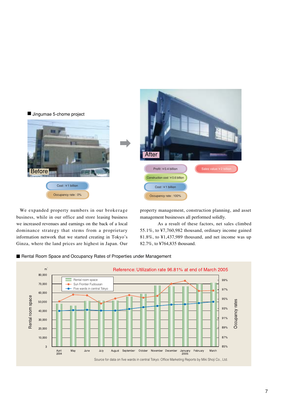

We expanded property numbers in our brokerage business, while in our office and store leasing business we increased revenues and earnings on the back of a local dominance strategy that stems from a proprietary information network that we started creating in Tokyo's Ginza, where the land prices are highest in Japan. Our

property management, construction planning, and asset management businesses all performed solidly.

As a result of these factors, net sales climbed 55.1%, to ¥7,760,982 thousand, ordinary income gained 81.8%, to ¥1,437,989 thousand, and net income was up 82.7%, to ¥764,835 thousand.



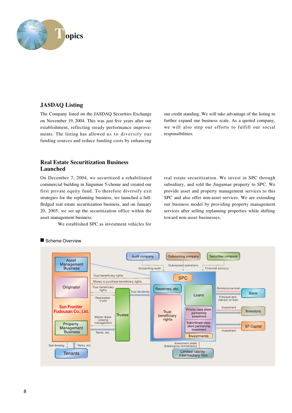

# **JASDAQ Listing**

The Company listed on the JASDAQ Securities Exchange on November 19, 2004. This was just five years after our establishment, reflecting steady performance improvements. The listing has allowed us to diversify our funding sources and reduce funding costs by enhancing

our credit standing. We will take advantage of the listing to further expand our business scale. As a quoted company, we will also step our efforts to fulfill our social responsibilities.

# **Real Estate Securitization Business Launched**

On December 7, 2004, we securitized a rehabilitated commercial building in Jingumae 5-chome and created our first private equity fund. To therefore diversify exit strategies for the replanning business, we launched a fullfledged real estate securitization business, and on January 20, 2005, we set up the securitization office within the asset management business.

We established SPC as investment vehicles for

real estate securitization. We invest in SPC through subsidiary, and sold the Jingumae property to SPC. We provide asset and property management services to this SPC and also offer non-asset services. We are extending our business model by providing property management services after selling replanning properties while shifting toward non-asset businesses.



# ■ Scheme Overview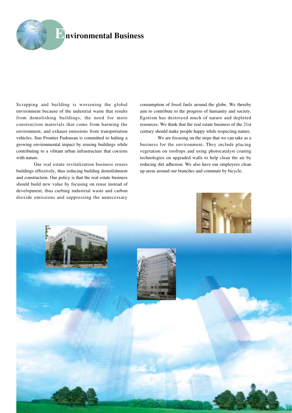

Scrapping and building is worsening the global environment because of the industrial waste that results from demolishing buildings, the need for more construction materials that come from harming the environment, and exhaust emissions from transportation vehicles. Sun Frontier Fudousan is committed to halting a growing environmental impact by reusing buildings while contributing to a vibrant urban infrastructure that coexists with nature.

Our real estate revitalization business reuses buildings effectively, thus reducing building demolishment and construction. Our policy is that the real estate business should build new value by focusing on reuse instead of development, thus curbing industrial waste and carbon dioxide emissions and suppressing the unnecessary

consumption of fossil fuels around the globe. We thereby aim to contribute to the progress of humanity and society. Egotism has destroyed much of nature and depleted resources. We think that the real estate business of the 21st century should make people happy while respecting nature.

We are focusing on the steps that we can take as a business for the environment. They include placing vegetation on rooftops and using photocatalyst coating technologies on upgraded walls to help clean the air by reducing dirt adhesion. We also have our employees clean up areas around our branches and commute by bicycle.

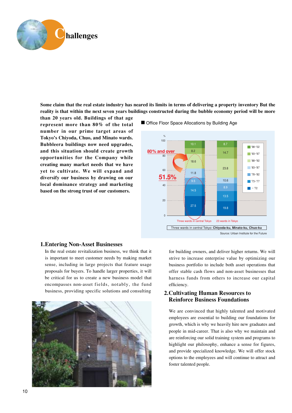

**Some claim that the real estate industry has neared its limits in terms of delivering a property inventory But the reality is that within the next seven years buildings constructed during the bubble economy period will be more**

**than 20 years old. Buildings of that age represent more than 80% of the total number in our prime target areas of Tokyo's Chiyoda, Chuo, and Minato wards. Bubbleera buildings now need upgrades, and this situation should create growth opportunities for the Company while creating many market needs that we have yet to cultivate. We will expand and diversify our business by drawing on our local dominance strategy and marketing based on the strong trust of our customers.** 



#### ■ Office Floor Space Allocations by Building Age

# **1.Entering Non-Asset Businesses**

In the real estate revitalization business, we think that it is important to meet customer needs by making market sense, including in large projects that feature usage proposals for buyers. To handle larger properties, it will be critical for us to create a new business model that encompasses non-asset fields, notably, the fund business, providing specific solutions and consulting



for building owners, and deliver higher returns. We will strive to increase enterprise value by optimizing our business portfolio to include both asset operations that offer stable cash flows and non-asset businesses that harness funds from others to increase our capital efficiency.

# **2.Cultivating Human Resources to Reinforce Business Foundations**

We are convinced that highly talented and motivated employees are essential to building our foundations for growth, which is why we heavily hire new graduates and people in mid-career. That is also why we maintain and are reinforcing our solid training system and programs to highlight our philosophy, enhance a sense for figures, and provide specialized knowledge. We will offer stock options to the employees and will continue to attract and foster talented people.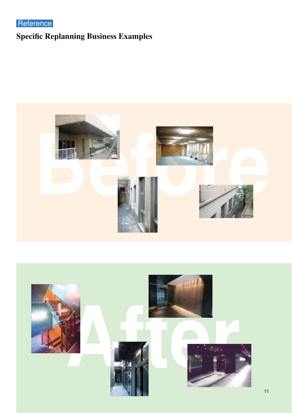**Reference** 

# **Specific Replanning Business Examples**



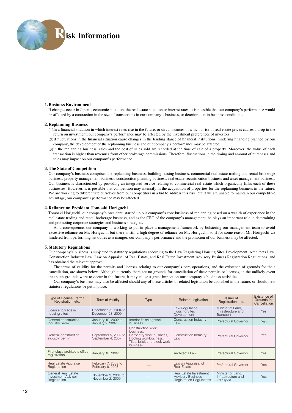

#### **1.Business Environment**

If changes occur in Japan's economic situation, the real estate situation or interest rates, it is possible that our company's performance would be affected by a contraction in the size of transactions in our company's business, or deterioration in business conditions.

#### **2.Replanning Business**

(1)In a financial situation in which interest rates rise in the future, or circumstances in which a rise in real estate prices causes a drop in the return on investment, our company's performance may be affected by the investment preferences of investors.

- (2)If fluctuations in the financial situation cause changes in the lending stance of financial institutions, hindering financing planned by our company, the development of the replanning business and our company's performance may be affected.
- (3)In the replanning business, sales and the cost of sales sold are recorded at the time of sale of a property. Moreover, the value of each transaction is higher than revenues from other brokerage commissions. Therefore, fluctuations in the timing and amount of purchases and sales may impact on our company's performance.

#### **3.The State of Competition**

Our company's business comprises the replanning business, building leasing business, commercial real estate trading and rental brokerage business, property management business, construction planning business, real estate securitization business and asset management business. Our business is characterized by providing an integrated service relating to commercial real estate which organically links each of these businesses. However, it is possible that competition may intensify in the acquisition of properties for the replanning business in the future. We are working to differentiate ourselves from our competitors in a bid to address this risk, but if we are unable to maintain our competitive advantage, our company's performance may be affected.

#### **4.Reliance on President Tomoaki Horiguchi**

Tomoaki Horiguchi, our company's president, started up our company's core business of replanning based on a wealth of experience in the real estate trading and rental brokerage business, and as the CEO of the company's management, he plays an important role in determining and promoting corporate strategies and business strategies.

As a consequence, our company is working to put in place a management framework by bolstering our management team to avoid excessive reliance on Mr. Horiguchi, but there is still a high degree of reliance on Mr. Horiguchi, so if for some reason Mr. Horiguchi wa hindered from performing his duties as a manger, our company's performance and the promotion of our business may be affected.

#### **5.Statutory Regulations**

Our company's business is subjected to statutory regulations according to the Law Regulating Housing Sites Development, Architects Law, Construction Industry Law, Law on Appraisal of Real Estate, and Real Estate Investment Advisory Business Registration Regulations, and has obtained the relevant approval.

The terms of validity for the permits and licenses relating to our company's core operations, and the existence of grounds for their cancellation, are shown below. Although currently there are no grounds for cancellation of these permits or licenses, in the unlikely event that such grounds were to occur in the future, it may cause a great impact on our company's business activities.

Our company's business may also be affected should any of these articles of related legislation be abolished in the future, or should new statutory regulations be put in place.

| Type of License, Permit,<br>Registration, etc.                          | <b>Term of Validity</b>                   | <b>Related Legislation</b><br><b>Type</b>                                                                                      |                                                                                       | <b>Issuer of</b><br>Registration, etc.               | Existence of<br>Grounds for<br>Cancellation |
|-------------------------------------------------------------------------|-------------------------------------------|--------------------------------------------------------------------------------------------------------------------------------|---------------------------------------------------------------------------------------|------------------------------------------------------|---------------------------------------------|
| License to trade in<br>housing sites                                    | December 29, 2004 to<br>December 28, 2009 |                                                                                                                                | Law Regulating<br><b>Housing Sites</b><br>Development                                 | Minister of Land,<br>Infrastructure and<br>Transport | <b>Yes</b>                                  |
| General construction<br>industry permit                                 | January 10, 2002 to<br>January 9, 2007    | Interior finishing work<br>business                                                                                            | Construction Industry<br>Law                                                          | Prefectural Governor                                 | Yes                                         |
| General construction<br>industry permit                                 | September 5, 2002 to<br>September 4, 2007 | Construction work<br>business.<br>Carpentry work business,<br>Roofing workbusiness,<br>Tiles, brick and block work<br>business | Construction Industry<br>Law                                                          | Prefectural Governor                                 | Yes                                         |
| First-class architects office<br>registration                           | January 10, 2007                          |                                                                                                                                | Architects Law                                                                        | Prefectural Governor                                 | Yes                                         |
| <b>Real Estate Appraiser</b><br>Registration                            | February 7, 2003 to<br>February 6, 2008   |                                                                                                                                | Law on Appraisal of<br><b>Real Estate</b>                                             | Prefectural Governor                                 | <b>Yes</b>                                  |
| <b>General Real Estate</b><br><b>Investment Advisor</b><br>Registration | November 3, 2004 to<br>November 2, 2009   |                                                                                                                                | Real Estate Investment<br><b>Advisory Business</b><br><b>Registration Regulations</b> | Minister of Land.<br>Infrastructure and<br>Transport | Yes.                                        |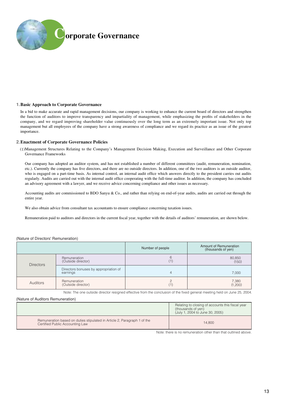

#### **1.Basic Approach to Corporate Governance**

In a bid to make accurate and rapid management decisions, our company is working to enhance the current board of directors and strengthen the function of auditors to improve transparency and impartiality of management, while emphasizing the profits of stakeholders in the company, and we regard improving shareholder value continuously over the long term as an extremely important issue. Not only top management but all employees of the company have a strong awareness of compliance and we regard its practice as an issue of the greatest importance.

#### **2.Enactment of Corporate Governance Policies**

(1)Management Structures Relating to the Company's Management Decision Making, Execution and Surveillance and Other Corporate Governance Frameworks

Our company has adopted an auditor system, and has not established a number of different committees (audit, remuneration, nomination, etc.). Currently the company has five directors, and there are no outside directors. In addition, one of the two auditors is an outside auditor, who is engaged on a part-time basis. As internal control, an internal audit office which answers directly to the president carries out audits regularly. Audits are carried out with the internal audit office cooperating with the full-time auditor. In addition, the company has concluded an advisory agreement with a lawyer, and we receive advice concerning compliance and other issues as necessary.

Accounting audits are commissioned to BDO Sanyu & Co., and rather than relying on end-of-year audits, audits are carried out through the entire year.

We also obtain advice from consultant tax accountants to ensure compliance concerning taxation issues.

Remuneration paid to auditors and directors in the current fiscal year, together with the details of auditors' remuneration, are shown below.

#### (Nature of Directors' Remuneration)

|                  |                                                   | Number of people | Amount of Remuneration<br>(thousands of yen) |
|------------------|---------------------------------------------------|------------------|----------------------------------------------|
| <b>Directors</b> | <b>Remuneration</b><br>(Outside director)         |                  | 80,850<br>(150)                              |
|                  | Directors bonuses by appropriation of<br>earnings |                  | 7.000                                        |
| Auditors         | Remuneration<br>(Outside director)                |                  | 7,380<br>(1,200)                             |

Note: The one outside director resigned effective from the conclusion of the fixed general meeting held on June 25, 2004.

(Nature of Auditors Remuneration)

|                                                                                                             | Relating to closing of accounts this fiscal year<br>(thousands of yen)<br>(July 1, 2004 to June 30, 2005) |
|-------------------------------------------------------------------------------------------------------------|-----------------------------------------------------------------------------------------------------------|
| Remuneration based on duties stipulated in Article 2, Paragraph 1 of the<br>Certified Public Accounting Law | 14.800                                                                                                    |

Note: there is no remuneration other than that outlined above.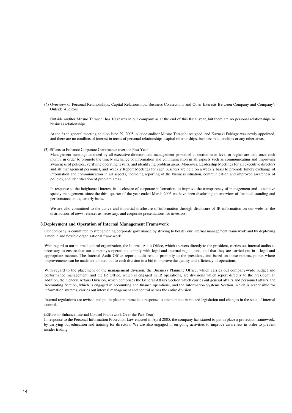(2) Overview of Personal Relationships, Capital Relationships, Business Connections and Other Interests Between Company and Company's Outside Auditors

Outside auditor Mitsuo Terauchi has 10 shares in our company as at the end of this fiscal year, but there are no personal relationships or business relationships.

At the fixed general meeting held on June 29, 2005, outside auditor Mitsuo Terauchi resigned, and Kazuaki Fukiage was newly appointed, and there are no conflicts of interest in terms of personal relationships, capital relationships, business relationships or any other areas.

(3) Efforts to Enhance Corporate Governance over the Past Year

Management meetings attended by all executive directors and management personnel at section head level or higher are held once each month, in order to promote the timely exchange of information and communication in all aspects such as communicating and improving awareness of policies, verifying operating results, and identifying problem areas. Moreover, Leadership Meetings for all executive directors and all management personnel, and Weekly Report Meetings for each business are held on a weekly basis to promote timely exchange of information and communication in all aspects, including reporting of the business situation, communication and improved awareness of policies, and identification of problem areas.

In response to the heightened interest in disclosure of corporate information, to improve the transparency of management and to achieve speedy management, since the third quarter of the year ended March 2005 we have been disclosing an overview of financial standing and performance on a quarterly basis.

We are also committed to the active and impartial disclosure of information through disclosure of IR information on our website, the distribution of news releases as necessary, and corporate presentations for investors.

#### **3.Deployment and Operation of Internal Management Framework**

Our company is committed to strengthening corporate governance by striving to bolster our internal management framework and by deploying a mobile and flexible organizational framework.

With regard to our internal control organization, the Internal Audit Office, which answers directly to the president, carries out internal audits as necessary to ensure that our company's operations comply with legal and internal regulations, and that they are carried out in a legal and appropriate manner. The Internal Audit Office reports audit results promptly to the president, and based on these reports, points where improvements can be made are pointed out to each division in a bid to improve the quality and efficiency of operations.

With regard to the placement of the management division, the Business Planning Office, which carries out company-wide budget and performance management, and the IR Office, which is engaged in IR operations, are divisions which report directly to the president. In addition, the General Affairs Division, which comprises the General Affairs Section which carries out general affairs and personnel affairs, the Accounting Section, which is engaged in accounting and finance operations, and the Information Systems Section, which is responsible for information systems, carries out internal management and control across the entire division.

Internal regulations are revised and put in place in immediate response to amendments in related legislation and changes in the state of internal control.

#### (Efforts to Enhance Internal Control Framework Over the Past Year)

In response to the Personal Information Protection Law enacted in April 2005, the company has started to put in place a protection framework, by carrying out education and training for directors. We are also engaged in on-going activities to improve awareness in order to prevent insider trading.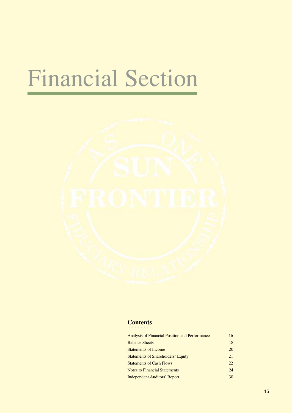# Financial Section



# **Contents**

| Analysis of Financial Position and Performance | 16  |
|------------------------------------------------|-----|
| <b>Balance Sheets</b>                          | 18  |
| <b>Statements of Income</b>                    | 20  |
| <b>Statements of Shareholders' Equity</b>      | 21  |
| <b>Statements of Cash Flows</b>                | 22. |
| <b>Notes to Financial Statements</b>           | 24  |
| <b>Independent Auditors' Report</b>            | 30  |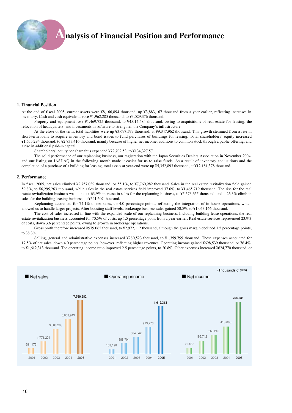# **Analysis of Financial Position and Performance**

#### **1. Financial Position**

At the end of fiscal 2005, current assets were ¥8,166,894 thousand, up ¥3,883,167 thousand from a year earlier, reflecting increases in inventory. Cash and cash equivalents rose ¥1,962,285 thousand, to ¥3,029,376 thousand.

Property and equipment rose ¥1,469,725 thousand, to ¥4,014,484 thousand, owing to acquisitions of real estate for leasing, the relocation of headquarters, and investments in software to strengthen the Company's infrastructure.

At the close of the term, total liabilities were up ¥3,697,599 thousand, at ¥9,347,962 thousand. This growth stemmed from a rise in short-term loans to acquire inventory and bond issues to fund purchases of buildings for leasing. Total shareholders' equity increased ¥1,655,294 thousand, to ¥2,833,416 thousand, mainly because of higher net income, additions to common stock through a public offering, and a rise in additional paid-in capital.

Shareholders' equity per share thus expanded ¥72,702.53, to ¥134,327.57.

The solid performance of our replanning business, our registration with the Japan Securities Dealers Association in November 2004, and our listing on JASDAQ in the following month made it easier for us to raise funds. As a result of inventory acquisitions and the completion of a purchase of a building for leasing, total assets at year-end were up ¥5,352,893 thousand, at ¥12,181,378 thousand.

#### **2. Performance**

In fiscal 2005, net sales climbed ¥2,757,039 thousand, or 55.1%, to ¥7,760,982 thousand. Sales in the real estate revitalization field gained 59.8%, to ¥6,295,263 thousand, while sales in the real estate services field improved 37.6%, to ¥1,465,719 thousand. The rise for the real estate revitalization business was due to a 63.9% increase in sales for the replanning business, to ¥5,573,655 thousand, and a 26.3% climb in sales for the building leasing business, to ¥541,607 thousand.

Replanning accounted for 74.1% of net sales, up 4.0 percentage points, reflecting the integration of in-house operations, which allowed us to handle larger projects. After boosting staff levels, brokerage business sales gained 50.5%, to ¥1,053,166 thousand.

The cost of sales increased in line with the expanded scale of our replanning business. Including building lease operations, the real estate revitalization business accounted for 70.5% of costs, up 1.5 percentage point from a year earlier. Real estate services represented 23.9% of costs, down 3.6 percentage points, owing to growth in brokerage operations.

Gross profit therefore increased ¥979,062 thousand, to ¥2,972,112 thousand, although the gross margin declined 1.5 percentage points, to 38.3%.

Selling, general and administrative expenses increased ¥280,523 thousand, to ¥1,359,799 thousand. These expenses accounted for 17.5% of net sales, down 4.0 percentage points, however, reflecting higher revenues. Operating income gained ¥698,539 thousand, or 76.4%, to ¥1,612,313 thousand. The operating income ratio improved 2.5 percentage points, to 20.8%. Other expenses increased ¥624,770 thousand, or

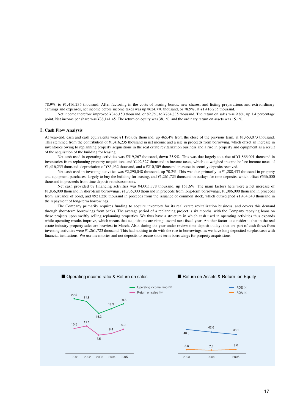78.9%, to ¥1,416,235 thousand. After factoring in the costs of issuing bonds, new shares, and listing preparations and extraordinary earnings and expenses, net income before income taxes was up ¥624,770 thousand, or 78.9%, at ¥1,416,235 thousand.

Net income therefore improved ¥346,150 thousand, or 82.7%, to ¥764,835 thousand. The return on sales was 9.8%, up 1.4 percentage point. Net income per share was ¥38,141.45. The return on equity was 38.1%, and the ordinary return on assets was 15.1%.

#### **3. Cash Flow Analysis**

At year-end, cash and cash equivalents were ¥1,196,062 thousand, up 465.4% from the close of the previous term, at ¥1,453,073 thousand. This stemmed from the contribution of ¥1,416,235 thousand in net income and a rise in proceeds from borrowing, which offset an increase in inventories owing to replanning property acquisitions in the real estate revitalization business and a rise in property and equipment as a result of the acquisition of the building for leasing.

Net cash used in operating activities was ¥519,267 thousand, down 25.9%. This was due largely to a rise of ¥1,866,091 thousand in inventories from replanning property acquisitions and ¥492,327 thousand in income taxes, which outweighed income before income taxes of ¥1,416,235 thousand, depreciation of ¥83,932 thousand, and a ¥210,509 thousand increase in security deposits received.

Net cash used in investing activities was ¥2,290,048 thousand, up 70.2%. This was due primarily to ¥1,288,433 thousand in property and equipment purchases, largely to buy the building for leasing, and ¥1,261,723 thousand in outlays for time deposits, which offset ¥536,000 thousand in proceeds from time deposit reimbursements.

Net cash provided by financing activities was ¥4,005,378 thousand, up 151.6%. The main factors here were a net increase of ¥1,836,000 thousand in short-term borrowings, ¥1,735,000 thousand in proceeds from long-term borrowings, ¥1,086,000 thousand in proceeds from issuance of bond, and ¥921,226 thousand in proceeds from the issuance of common stock, which outweighed ¥1,434,840 thousand in the repayment of long-term borrowings.

The Company primarily requires funding to acquire inventory for its real estate revitalization business, and covers this demand through short-term borrowings from banks. The average period of a replanning project is six months, with the Company repaying loans on these projects upon swiftly selling replanning properties. We thus have a structure in which cash used in operating activities thus expands while operating results improve, which means that acquisitions are rising toward next fiscal year. Another factor to consider is that in the real estate industry property sales are heaviest in March. Also, during the year under review time deposit outlays that are part of cash flows from investing activities were ¥1,261,723 thousand. This had nothing to do with the rise in borrowings, as we have long deposited surplus cash with financial institutions. We use inventories and not deposits to secure short-term borrowings for property acquisitions.

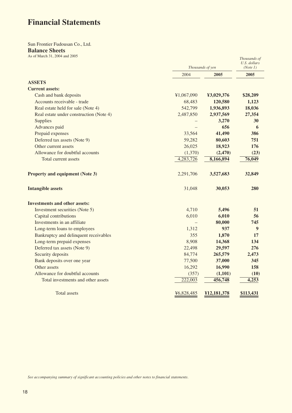# **Financial Statements**

# Sun Frontier Fudousan Co., Ltd. **Balance Sheets**

| As of March 31, 2004 and 2005           |            |                  | Thousands of<br>U.S. dollars |  |
|-----------------------------------------|------------|------------------|------------------------------|--|
|                                         |            | Thousands of yen |                              |  |
|                                         | 2004       | 2005             | 2005                         |  |
| <b>ASSETS</b>                           |            |                  |                              |  |
| <b>Current assets:</b>                  |            |                  |                              |  |
| Cash and bank deposits                  | ¥1,067,090 | ¥3,029,376       | \$28,209                     |  |
| Accounts receivable - trade             | 68,483     | 120,580          | 1,123                        |  |
| Real estate held for sale (Note 4)      | 542,799    | 1,936,893        | 18,036                       |  |
| Real estate under construction (Note 4) | 2,487,850  | 2,937,569        | 27,354                       |  |
| <b>Supplies</b>                         |            | 3,270            | 30                           |  |
| Advances paid                           |            | 656              | 6                            |  |
| Prepaid expenses                        | 33,564     | 41,490           | 386                          |  |
| Deferred tax assets (Note 9)            | 59,282     | 80,603           | 751                          |  |
| Other current assets                    | 26,025     | 18,923           | 176                          |  |
| Allowance for doubtful accounts         | (1,370)    | (2, 470)         | (23)                         |  |
| Total current assets                    | 4,283,726  | 8,166,894        | 76,049                       |  |
| <b>Property and equipment (Note 3)</b>  | 2,291,706  | 3,527,683        | 32,849                       |  |
| <b>Intangible assets</b>                | 31,048     | 30,053           | 280                          |  |
| <b>Investments and other assets:</b>    |            |                  |                              |  |
| Investment securities (Note 5)          | 4,710      | 5,496            | 51                           |  |
| Capital contributions                   | 6,010      | 6,010            | 56                           |  |
| Investments in an affiliate             |            | 80,000           | 745                          |  |
| Long-term loans to employees            | 1,312      | 937              | 9                            |  |
| Bankruptcy and delinquent receivables   | 355        | 1,870            | 17                           |  |
| Long-term prepaid expenses              | 8,908      | 14,368           | 134                          |  |
| Deferred tax assets (Note 9)            | 22,498     | 29,597           | 276                          |  |
| Security deposits                       | 84,774     | 265,579          | 2,473                        |  |
| Bank deposits over one year             | 77,500     | 37,000           | 345                          |  |
| Other assets                            | 16,292     | 16,990           | 158                          |  |
| Allowance for doubtful accounts         | (357)      | (1,101)          | (10)                         |  |
| Total investments and other assets      | 222,003    | 456,748          | 4,253                        |  |
| Total assets                            | ¥6,828,485 | ¥12,181,378      | \$113,431                    |  |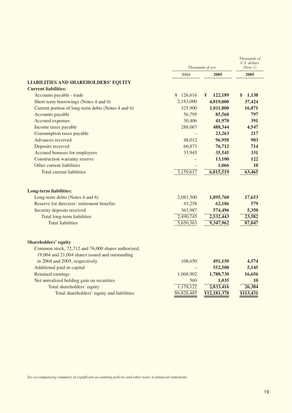|                                                        | Thousands of yen |                    | Thousands of<br>U.S. dollars<br>(Note 1) |
|--------------------------------------------------------|------------------|--------------------|------------------------------------------|
|                                                        | 2004             | 2005               | 2005                                     |
| <b>LIABILITIES AND SHAREHOLDERS' EQUITY</b>            |                  |                    |                                          |
| <b>Current liabilities:</b>                            |                  |                    |                                          |
| Accounts payable - trade                               | ¥ $126,616$      | 122,189<br>¥       | 1,138<br>\$                              |
| Short-term borrowings (Notes 4 and 6)                  | 2,183,000        | 4,019,000          | 37,424                                   |
| Current portion of long-term debts (Notes 4 and 6)     | 325,900          | 1,811,800          | 16,871                                   |
| Accounts payable                                       | 56,795           | 85,568             | 797                                      |
| <b>Accrued expenses</b>                                | 30,406           | 41,970             | 391                                      |
| Income taxes payable                                   | 288,067          | 488,344            | 4,547                                    |
| Consumption taxes payable                              |                  | 23,263             | 217                                      |
| Advances received                                      | 48,012           | 96,958             | 903                                      |
| Deposits received                                      | 66,873           | 76,712             | 714                                      |
| Accrued bonuses for employees                          | 33,945           | 35,545             | 331                                      |
| Construction warranty reserve                          |                  | 13,100             | 122                                      |
| Other current liabilities                              |                  | 1,066              | 10                                       |
| <b>Total current liabilities</b>                       | 3,159,617        | 6,815,519          | 63,465                                   |
| <b>Long-term liabilities:</b>                          |                  |                    |                                          |
| Long-term debts (Notes 4 and 6)                        | 2,081,500        | 1,895,760          | 17,653                                   |
| Reserve for directors' retirement benefits             | 45,258           | 62,186             | 579                                      |
| Security deposits received                             | 363,987          | 574,496            | 5,350                                    |
| Total long-term liabilities                            | 2,490,745        | 2,532,443          | 23,582                                   |
| <b>Total liabilities</b>                               | 5,650,363        | 9,347,962          | 87,047                                   |
|                                                        |                  |                    |                                          |
| <b>Shareholders' equity</b>                            |                  |                    |                                          |
| Common stock, 72,712 and 76,000 shares authorized,     |                  |                    |                                          |
| 19,004 and 21,004 shares issued and outstanding        |                  |                    |                                          |
| in 2004 and 2005, respectively                         | 108,650          | 491,150            | 4,574                                    |
| Additional paid-in capital<br><b>Retained earnings</b> |                  | 552,500            | 5,145                                    |
|                                                        | 1,068,902        | 1,788,730          | 16,656<br>10                             |
| Net unrealized holding gain on securities              | 569<br>1,178,122 | 1,035<br>2,833,416 | 26,384                                   |
| Total shareholders' equity                             | ¥6,828,485       |                    | \$113,431                                |
| Total shareholders' equity and liabilities             |                  | ¥12,181,378        |                                          |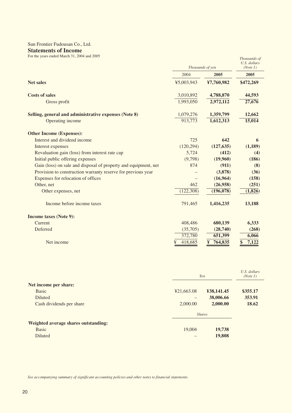# Sun Frontier Fudousan Co., Ltd.

# **Statements of Income**

For the years ended March 31, 2004 and 2005

| For the years ended March 31, 2004 and 2005                     |              | Thousands of yen | Thousands of<br>U.S. dollars<br>(Note 1) |
|-----------------------------------------------------------------|--------------|------------------|------------------------------------------|
|                                                                 | 2004         | 2005             | 2005                                     |
| <b>Net sales</b>                                                | ¥5,003,943   | ¥7,760,982       | \$472,269                                |
| <b>Costs of sales</b>                                           | 3,010,892    | 4,788,870        | 44,593                                   |
| Gross profit                                                    | 1,993,050    | 2,972,112        | 27,676                                   |
| Selling, general and administrative expenses (Note 8)           | 1,079,276    | 1,359,799        | 12,662                                   |
| Operating income                                                | 913,773      | 1,612,313        | 15,014                                   |
| <b>Other Income (Expenses):</b>                                 |              |                  |                                          |
| Interest and dividend income                                    | 725          | 642              | 6                                        |
| Interest expenses                                               | (120, 294)   | (127, 635)       | (1,189)                                  |
| Revaluation gain (loss) from interest rate cap                  | 5,724        | (412)            | (4)                                      |
| Initial public offering expenses                                | (9,798)      | (19,960)         | (186)                                    |
| Gain (loss) on sale and disposal of property and equipment, net | 874          | (911)            | (8)                                      |
| Provision to construction warranty reserve for previous year    |              | (3,878)          | (36)                                     |
| Expenses for relocation of offices                              |              | (16,964)         | (158)                                    |
| Other, net                                                      | 462          | (26,958)         | (251)                                    |
| Other expenses, net                                             | (122, 308)   | (196, 078)       | (1, 826)                                 |
| Income before income taxes                                      | 791,465      | 1,416,235        | 13,188                                   |
| <b>Income taxes (Note 9):</b>                                   |              |                  |                                          |
| Current                                                         | 408,486      | 680,139          | 6,333                                    |
| Deferred                                                        | (35,705)     | (28,740)         | (268)                                    |
|                                                                 | 372,780      | 651,399          | 6,066                                    |
| Net income                                                      | ¥<br>418,685 | ¥<br>764,835     | 7,122                                    |

|                                             |            | Yen           | U.S. dollars<br>(Note 1) |
|---------------------------------------------|------------|---------------|--------------------------|
| Net income per share:                       |            |               |                          |
| <b>Basic</b>                                | ¥21,663.08 | ¥38,141.45    | \$355.17                 |
| <b>Diluted</b>                              |            | 38,006.66     | 353.91                   |
| Cash dividends per share                    | 2,000.00   | 2,000.00      | 18.62                    |
|                                             |            | <b>Shares</b> |                          |
| <b>Weighted average shares outstanding:</b> |            |               |                          |
| <b>Basic</b>                                | 19,004     | 19,738        |                          |
| Diluted                                     |            | 19,808        |                          |
|                                             |            |               |                          |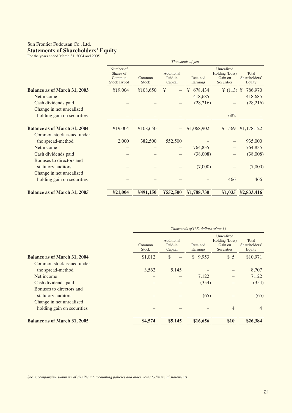## Sun Frontier Fudousan Co., Ltd. **Statements of Shareholders' Equity** For the years ended March 31, 2004 and 2005

|                                     | Thousands of yen                                        |                        |                                  |                      |                                                       |                                  |
|-------------------------------------|---------------------------------------------------------|------------------------|----------------------------------|----------------------|-------------------------------------------------------|----------------------------------|
|                                     | Number of<br>Shares of<br>Common<br><b>Stock Issued</b> | Common<br><b>Stock</b> | Additional<br>Paid-in<br>Capital | Retained<br>Earnings | Unrealized<br>Holding (Loss)<br>Gain on<br>Securities | Total<br>Shareholders'<br>Equity |
| <b>Balance as of March 31, 2003</b> | ¥19,004                                                 | ¥108,650               | ¥                                | 678,434<br>¥         | ¥ $(113)$ ¥                                           | 786,970                          |
| Net income                          |                                                         |                        |                                  | 418,685              |                                                       | 418,685                          |
| Cash dividends paid                 |                                                         |                        |                                  | (28,216)             |                                                       | (28, 216)                        |
| Change in net unrealized            |                                                         |                        |                                  |                      |                                                       |                                  |
| holding gain on securities          |                                                         |                        |                                  |                      | 682                                                   |                                  |
| <b>Balance as of March 31, 2004</b> | ¥19,004                                                 | ¥108,650               |                                  | ¥1,068,902           | 569<br>¥                                              | ¥1,178,122                       |
| Common stock issued under           |                                                         |                        |                                  |                      |                                                       |                                  |
| the spread-method                   | 2,000                                                   | 382,500                | 552,500                          |                      |                                                       | 935,000                          |
| Net income                          |                                                         |                        |                                  | 764,835              |                                                       | 764,835                          |
| Cash dividends paid                 |                                                         |                        |                                  | (38,008)             |                                                       | (38,008)                         |
| Bonuses to directors and            |                                                         |                        |                                  |                      |                                                       |                                  |
| statutory auditors                  |                                                         |                        |                                  | (7,000)              |                                                       | (7,000)                          |
| Change in net unrealized            |                                                         |                        |                                  |                      |                                                       |                                  |
| holding gain on securities          |                                                         |                        |                                  |                      | 466                                                   | 466                              |
| <b>Balance as of March 31, 2005</b> | ¥21,004                                                 | ¥491,150               | ¥552,500                         | ¥1,788,730           | ¥1,035                                                | ¥2,833,416                       |

|                                     | Thousands of U.S. dollars (Note 1) |                                  |                      |                                                       |                                  |
|-------------------------------------|------------------------------------|----------------------------------|----------------------|-------------------------------------------------------|----------------------------------|
|                                     | Common<br><b>Stock</b>             | Additional<br>Paid-in<br>Capital | Retained<br>Earnings | Unrealized<br>Holding (Loss)<br>Gain on<br>Securities | Total<br>Shareholders'<br>Equity |
| <b>Balance as of March 31, 2004</b> | \$1,012                            | \$                               | \$9,953              | \$5                                                   | \$10,971                         |
| Common stock issued under           |                                    |                                  |                      |                                                       |                                  |
| the spread-method                   | 3,562                              | 5,145                            |                      |                                                       | 8,707                            |
| Net income                          |                                    |                                  | 7,122                |                                                       | 7,122                            |
| Cash dividends paid                 |                                    |                                  | (354)                |                                                       | (354)                            |
| Bonuses to directors and            |                                    |                                  |                      |                                                       |                                  |
| statutory auditors                  |                                    |                                  | (65)                 |                                                       | (65)                             |
| Change in net unrealized            |                                    |                                  |                      |                                                       |                                  |
| holding gain on securities          |                                    |                                  |                      | $\overline{4}$                                        | $\overline{4}$                   |
| <b>Balance as of March 31, 2005</b> | \$4,574                            | \$5,145                          | \$16,656             | \$10                                                  | \$26,384                         |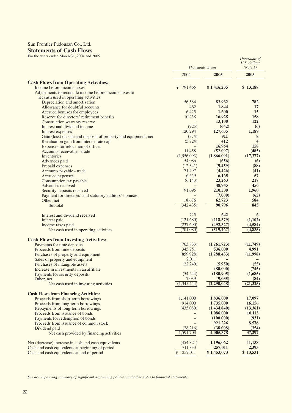# Sun Frontier Fudousan Co., Ltd.

# **Statements of Cash Flows**

For the years ended March 31, 2004 and 2005

|                                                                 | Thousands of yen         |             | U.S. dollars<br>(Note 1) |
|-----------------------------------------------------------------|--------------------------|-------------|--------------------------|
|                                                                 | 2004                     | 2005        | 2005                     |
| <b>Cash Flows from Operating Activities:</b>                    |                          |             |                          |
| Income before income taxes                                      | ¥ 791,465                | ¥1,416,235  | \$13,188                 |
| Adjustments to reconcile income before income taxes to          |                          |             |                          |
| net cash used in operating activities:                          |                          |             |                          |
| Depreciation and amortization                                   | 56,584                   | 83,932      | 782                      |
| Allowance for doubtful accounts                                 | 462                      | 1,844       | 17                       |
| Accrued bonuses for employees                                   | 6,425                    | 1,600       | 15                       |
| Reserve for directors' retirement benefits                      | 10,258                   | 16,928      | 158                      |
| Construction warranty reserve                                   |                          | 13,100      | 122                      |
| Interest and dividend income                                    | (725)                    | (642)       | (6)                      |
| Interest expenses                                               | 120,294                  | 127,635     | 1,189                    |
| Gain (loss) on sale and disposal of property and equipment, net | (874)                    | 911         | 8                        |
| Revaluation gain from interest rate cap                         | (5, 724)                 | 412         | $\overline{\mathbf{4}}$  |
| Expenses for relocation of offices                              |                          | 16,964      | 158                      |
| Accounts receivable - trade                                     | 11,458                   | (52,097)    | (485)                    |
| Inventories                                                     | (1,556,093)              | (1,866,091) | (17, 377)                |
| Advances paid                                                   | 54,086                   | (656)       | (6)                      |
| Prepaid expenses                                                | (12, 341)                | (9, 459)    | (88)                     |
| Accounts payable - trade                                        | 71,497                   | (4, 426)    | (41)                     |
| Accrued expenses                                                | 6,559                    | 6,165       | 57                       |
| Consumption tax payable                                         | (6, 143)                 | 23,263      | 217                      |
| Advances received                                               |                          | 48,945      | 456                      |
| Security deposits received                                      | 91,695                   | 210,509     | 1,960                    |
| Payment for directors' and statutory auditors' bonuses          |                          | (7,000)     | (65)                     |
| Other, net                                                      | 18,676                   | 62,723      | 584                      |
| Subtotal                                                        | (342, 435)               | 90,796      | 845                      |
| Interest and dividend received                                  | 725                      | 642         | 6                        |
| Interest paid                                                   | (121,680)                | (118, 379)  | (1,102)                  |
| Income taxes paid                                               | (237,690)                | (492, 327)  | (4, 584)                 |
| Net cash used in operating activities                           | (701,080)                | (519,267)   | (4,835)                  |
| <b>Cash Flows from Investing Activities:</b>                    |                          |             |                          |
| Payments for time deposits                                      | (763, 833)               | (1,261,723) | (11,749)                 |
| Proceeds from time deposits                                     | 345,751                  | 536,000     | 4,991                    |
| Purchases of property and equipment                             | (859, 928)               | (1,288,433) | (11,998)                 |
| Sales of property and equipment                                 | 2,011                    |             |                          |
| Purchases of intangible assets                                  | (22, 240)                | (5,950)     | (55)                     |
| Increase in investments in an affiliate                         |                          | (80,000)    | (745)                    |
| Payments for security deposits                                  | (54,244)                 | (180, 905)  | (1,685)                  |
| Other, net                                                      | 7,039                    | (9,035)     | (84)                     |
| Net cash used in investing activities                           | (1,345,444)              | (2,290,048) | (21, 325)                |
| <b>Cash Flows from Financing Activities:</b>                    |                          |             |                          |
| Proceeds from short-term borrowings                             | 1,141,000                | 1,836,000   | 17,097                   |
| Proceeds from long-term borrowings                              | 914,000                  | 1,735,000   | 16,156                   |
| Repayments of long-term borrowings                              | (435,080)                | (1,434,840) | (13,361)                 |
| Proceeds from issuance of bonds                                 |                          | 1,086,000   | 10,113                   |
| Payments for redemption of bonds                                | $\overline{\phantom{m}}$ | (100,000)   | (931)                    |
| Proceeds from issuance of common stock                          |                          | 921,226     | 8,578                    |
| Dividend paid                                                   | (28,216)                 | (38,008)    | (354)                    |
| Net cash provided by financing activities                       | 1,591,703                | 4,005,378   | 37,297                   |
| Net (decrease) increase in cash and cash equivalents            | (454, 821)               | 1,196,062   | 11,138                   |
| Cash and cash equivalents at beginning of period                | 711,833                  | 257,011     | 2,393                    |
| Cash and cash equivalents at end of period                      | ¥ $257,011$              | ¥1,453,073  | \$13,531                 |

*Thousands of*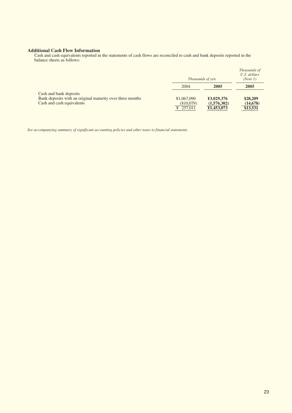#### **Additional Cash Flow Information**

Cash and cash equivalents reported in the statements of cash flows are reconciled to cash and bank deposits reported in the balance sheets as follows:

|                                                           |            | Thousands of yen | Thousands of<br>U.S. dollars<br>(Note 1) |
|-----------------------------------------------------------|------------|------------------|------------------------------------------|
|                                                           | 2004       | 2005             | 2005                                     |
| Cash and bank deposits                                    |            |                  |                                          |
| Bank deposits with an original maturity over three months | ¥1,067,090 | ¥3,029,376       | \$28,209                                 |
| Cash and cash equivalents                                 | (810,079)  | (1,576,302)      | (14, 678)                                |
|                                                           | ¥ 257,011  | ¥1,453,073       | \$13,531                                 |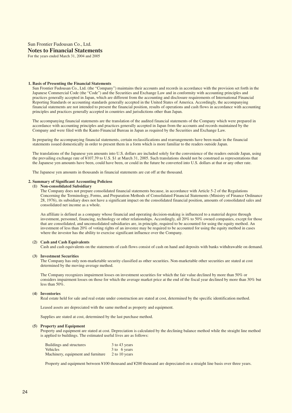### Sun Frontier Fudousan Co., Ltd. **Notes to Financial Statements** For the years ended March 31, 2004 and 2005

#### **1. Basis of Presenting the Financial Statements**

Sun Frontier Fudousan Co., Ltd. (the "Company") maintains their accounts and records in accordance with the provision set forth in the Japanese Commercial Code (the "Code") and the Securities and Exchange Law and in conformity with accounting principles and practices generally accepted in Japan, which are different from the accounting and disclosure requirements of International Financial Reporting Standards or accounting standards generally accepted in the United States of America. Accordingly, the accompanying financial statements are not intended to present the financial position, results of operations and cash flows in accordance with accounting principles and practices generally accepted in countries and jurisdictions other than Japan.

The accompanying financial statements are the translation of the audited financial statements of the Company which were prepared in accordance with accounting principles and practices generally accepted in Japan from the accounts and records maintained by the Company and were filed with the Kanto Financial Bureau in Japan as required by the Securities and Exchange Law.

In preparing the accompanying financial statements, certain reclassifications and rearrangements have been made in the financial statements issued domestically in order to present them in a form which is more familiar to the readers outside Japan.

The translations of the Japanese yen amounts into U.S. dollars are included solely for the convenience of the readers outside Japan, using the prevailing exchange rate of ¥107.39 to U.S. \$1 at March 31, 2005. Such translations should not be construed as representations that the Japanese yen amounts have been, could have been, or could in the future be converted into U.S. dollars at that or any other rate.

The Japanese yen amounts in thousands in financial statements are cut off at the thousand.

#### **2. Summary of Significant Accounting Policiess**

#### **(1) Non-consolidated Subsidiary**

The Company does not prepare consolidated financial statements because, in accordance with Article 5-2 of the Regulations Concerning the Terminology, Forms, and Preparation Methods of Consolidated Financial Statements (Ministry of Finance Ordinance 28, 1976), its subsidiary does not have a significant impact on the consolidated financial position, amounts of consolidated sales and consolidated net income as a whole.

An affiliate is defined as a company whose financial and operating decision-making is influenced to a material degree through investment, personnel, financing, technology or other relationships. Accordingly, all 20% to 50% owned companies, except for those that are consolidated, and unconsolidated subsidiaries are, in principle, required to be accounted for using the equity method. An investment of less than 20% of voting rights of an investee may be required to be accounted for using the equity method in cases where the investor has the ability to exercise significant influence over the Company.

#### **(2) Cash and Cash Equivalents**

Cash and cash equivalents on the statements of cash flows consist of cash on hand and deposits with banks withdrawable on demand.

#### **(3) Investment Securities**

The Company has only non-marketable security classified as other securities. Non-marketable other securities are stated at cost determined by the moving-average method.

The Company recognizes impairment losses on investment securities for which the fair value declined by more than 50% or considers impairment losses on those for which the average market price at the end of the fiscal year declined by more than 30% but less than 50%.

#### **(4) Inventories**

Real estate held for sale and real estate under construction are stated at cost, determined by the specific identification method.

Leased assets are depreciated with the same method as property and equipment.

Supplies are stated at cost, determined by the last purchase method.

#### **(5) Property and Equipment**

Property and equipment are stated at cost. Depreciation is calculated by the declining balance method while the straight line method is applied to buildings. The estimated useful lives are as follows:

| <b>Buildings and structures</b>    | 3 to 43 years |
|------------------------------------|---------------|
| <b>Vehicles</b>                    | 3 to 6 years  |
| Machinery, equipment and furniture | 2 to 10 years |

Property and equipment between ¥100 thousand and ¥200 thousand are depreciated on a straight line basis over three years.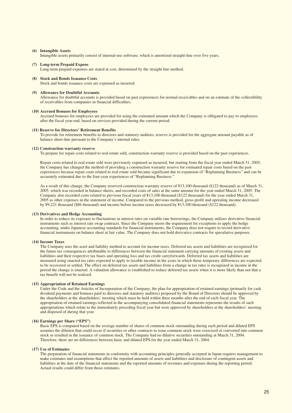#### **(6) Intangible Assets**

Intangible assets primarily consist of internal-use software, which is amortized straight-line over five years.

#### **(7) Long-term Prepaid Expens**

Long-term prepaid expenses are stated at cost, determined by the straight line method.

#### **(8) Stock and Bonds Issuance Costs**

Stock and bonds issuance costs are expensed as incurred.

#### **(9) Allowance for Doubtful Accounts**

Allowance for doubtful accounts is provided based on past experiences for normal receivables and on an estimate of the collectibility of receivables from companies in financial difficulties.

#### **(10) Accrued Bonuses for Employees**

Accrued bonuses for employees are provided for using the estimated amount which the Company is obligated to pay to employees after the fiscal year-end, based on services provided during the current period.

#### **(11) Reserve for Directors' Retirement Benefits**

To provide for retirement benefits to directors and statutory auditors, reserve is provided for the aggregate amount payable as of balance sheet date pursuant to the Company's internal rules.

#### **(12) Construction warranty reserve**

To prepare for repair costs related to real estate sold, construction warranty reserve is provided based on the past experiences.

Repair costs related to real estate sold were previously expensed as incurred, but starting from the fiscal year ended March 31, 2005, the Company has changed the method of providing a construction warranty reserve for estimated repair costs based on the past experiences because repair costs related to real estate sold became significant due to expansion of "Replanning Business" and can be accurately estimated due to the four-year experiences of "Replanning Business."

As a result of this change, the Company reserved construction warranty reserve of ¥13,100 thousand (\$122 thousand) as of March 31, 2005, which was recorded in balance sheets, and recorded costs of sales at the same amount for the year ended March 31, 2005. The Company also recorded costs related to previous fiscal years of ¥13,100 thousand (\$122 thousand) for the year ended March 31, 2005 as other expenses in the statement of income. Compared to the previous method, gross profit and operating income decreased by ¥9,221 thousand (\$86 thousand) and income before income taxes decreased by ¥13,100 thousand (\$122 thousand).

#### **(13) Derivatives and Hedge Accounting**

In order to reduce its exposure to fluctuations in interest rates on variable rate borrowings, the Company utilizes derivative financial instruments such as interest rate swap contracts. Since the Company meets the requirement for exceptions to apply the hedge accounting, under Japanese accounting standards for financial instruments, the Company does not require to record derivative financial instruments on balance sheet at fair value. The Company does not hold derivative contracts for speculative purposes.

#### **(14) Income Taxes**

The Company uses the asset and liability method to account for income taxes. Deferred tax assets and liabilities are recognized for the future tax consequences attributable to differences between the financial statement carrying amounts of existing assets and liabilities and their respective tax bases and operating loss and tax credit carryforwards. Deferred tax assets and liabilities are measured using enacted tax rates expected to apply to taxable income in the years in which those temporary differences are expected to be recovered or settled. The effect on deferred tax assets and liabilities from a change in tax rates is recognized in income in the period the change is enacted. A valuation allowance is established to reduce deferred tax assets when it is more likely than not that a tax benefit will not be realized.

#### **(15) Appropriation of Retained Earnings**

Under the Code and the Articles of Incorporation of the Company, the plan for appropriation of retained earnings (primarily for cash dividend payments and bonuses paid to directors and statutory auditors) proposed by the Board of Directors should be approved by the shareholders at the shareholders' meeting which must be held within three months after the end of each fiscal year. The appropriation of retained earnings reflected in the accompanying consolidated financial statements represents the results of such appropriations which relate to the immediately preceding fiscal year but were approved by shareholders at the shareholders' meeting and disposed of during that year.

#### **(16) Earnings per Share ("EPS")**

Basic EPS is computed based on the average number of shares of common stock outstanding during each period and diluted EPS assumes the dilution that could occur if securities or other contracts to issue common stock were exercised or converted into common stock or resulted in the issuance of common stock. The Company had no dilutive securities outstanding at March 31, 2004. Therefore, there are no differences between basic and diluted EPS for the year ended March 31, 2004.

#### **(17) Use of Estimates**

The preparation of financial statements in conformity with accounting principles generally accepted in Japan requires management to make estimates and assumptions that affect the reported amounts of assets and liabilities and disclosure of contingent assets and liabilities at the date of the financial statements and the reported amounts of revenues and expenses during the reporting period. Actual results could differ from those estimates.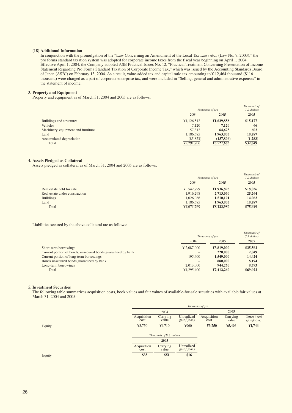#### **(18) Additional Information**

In conjunction with the promulgation of the "Law Concerning an Amendment of the Local Tax Laws etc., (Law No. 9, 2003)," the pro forma standard taxation system was adopted for corporate income taxes from the fiscal year beginning on April 1, 2004. Effective April 1, 2004, the Company adopted ASB Practical Issues No. 12, "Practical Treatment Concerning Presentation of Income Statement Regarding Pro Forma Standard Taxation of Corporate Income Tax," which was issued by the Accounting Standards Board of Japan (ASBJ) on February 13, 2004. As a result, value-added tax and capital ratio tax amounting to ¥ 12,464 thousand (\$116 thousand) were charged as a part of corporate enterprise tax, and were included in "Selling, general and administrative expenses" in the statement of income.

#### **3. Property and Equipment**

Property and equipment as of March 31, 2004 and 2005 are as follows:

|                                    | Thousands of yen        |            | Thousands of<br>U.S. dollars |
|------------------------------------|-------------------------|------------|------------------------------|
|                                    | 2004                    | 2005       | 2005                         |
| <b>Buildings and structures</b>    | ¥1,126,512              | ¥1,629,858 | \$15,177                     |
| Vehicles                           | 7.120                   | 7.120      | 66                           |
| Machinery, equipment and furniture | 57,312                  | 64,675     | 602                          |
| Land                               | 1,186,585               | 1,963,835  | 18,287                       |
| Accumulated depreciation           | (85, 823)               | (137,806)  | (1,283)                      |
| Total                              | $\overline{42,291,706}$ | ¥3,527,683 | \$32,849                     |

#### **4. Assets Pledged as Collateral**

Assets pledged as collateral as of March 31, 2004 and 2005 are as follows:

|                                |                         |                  | Thousands of |
|--------------------------------|-------------------------|------------------|--------------|
|                                |                         | Thousands of yen |              |
|                                | 2004                    | 2005             | 2005         |
| Real estate held for sale      | ¥ $542.799$             | ¥1,936,893       | \$18,036     |
| Real estate under construction | 1,916,298               | 2,713,060        | 25,264       |
| <b>Buildings</b>               | 1.026.086               | 1,510,191        | 14,063       |
| Land                           | 1.186.585               | 1.963.835        | 18,287       |
| Total                          | $\overline{44,671,769}$ | ¥8,123,980       | \$75,649     |
|                                |                         |                  |              |

Liabilities secured by the above collateral are as follows:

|                                                              | Thousands of yen |            | Thousands of<br>U.S. dollars |
|--------------------------------------------------------------|------------------|------------|------------------------------|
|                                                              | 2004             | 2005       | 2005                         |
| Short-term borrowings                                        | ¥ 2,087,000      | ¥3.819,000 | \$35,562                     |
| Current portion of bonds, unsecured bonds guaranteed by bank |                  | 220,000    | 2.049                        |
| Current portion of long-term borrowings                      | 195,400          | 1,549,000  | 14,424                       |
| Bonds unsecured bonds guaranteed by bank                     |                  | 880,000    | 8.194                        |
| Long-term borrowings                                         | 2.013,000        | 944,260    | 8.793                        |
| Total                                                        | ¥4,295,400       | ¥7,412,260 | \$69,022                     |

#### **5. Investment Securities**

The following table summarizes acquisition costs, book values and fair values of available-for-sale securities with available fair values at March 31, 2004 and 2005:

|        |                     | Thousands of yen          |                           |                     |                   |                           |
|--------|---------------------|---------------------------|---------------------------|---------------------|-------------------|---------------------------|
|        |                     | 2004                      |                           |                     | 2005              |                           |
|        | Acquisition<br>cost | Carrying<br>value         | Unrealized<br>gain/(loss) | Acquisition<br>cost | Carrying<br>value | Unrealized<br>gain/(loss) |
| Equity | ¥3,750              | ¥4,710                    | ¥960                      | ¥3,750              | ¥5,496            | ¥1,746                    |
|        |                     | Thousands of U.S. dollars |                           |                     |                   |                           |
|        |                     | 2005                      |                           |                     |                   |                           |
|        | Acquisition<br>cost | Carrying<br>value         | Unrealized<br>gain/(loss) |                     |                   |                           |
| Equity | \$35                | \$51                      | \$16                      |                     |                   |                           |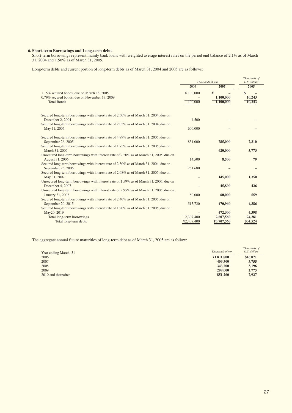#### **6. Short-term Borrowings and Long-term debts**

Short-term borrowings represent mainly bank loans with weighted average interest rates on the period end balance of 2.1% as of March 31, 2004 and 1.50% as of March 31, 2005.

Long-term debts and current portion of long-term debts as of March 31, 2004 and 2005 are as follows:

|                                                                                                           |            | Thousands of yen | Thousands of<br>U.S. dollars |
|-----------------------------------------------------------------------------------------------------------|------------|------------------|------------------------------|
|                                                                                                           | 2004       | 2005             | 2005                         |
| 1.15% secured bonds, due on March 18, 2005                                                                | ¥100,000   | ¥                | \$                           |
| 0.79% secured bonds, due on November 13, 2009                                                             |            | 1,100,000        | 10,243                       |
| <b>Total Bonds</b>                                                                                        | 100,000    | 1,100,000        | 10,243                       |
|                                                                                                           |            |                  |                              |
| Secured long-term borrowings with interest rate of 2.30% as of March 31, 2004, due on                     |            |                  |                              |
| December 2, 2004                                                                                          | 4,500      |                  |                              |
| Secured long-term borrowings with interest rate of 2.05% as of March 31, 2004, due on<br>May 11, 2005     | 600,000    |                  |                              |
|                                                                                                           |            |                  |                              |
| Secured long-term borrowings with interest rate of 4.89% as of March 31, 2005, due on                     |            |                  |                              |
| September 26, 2005                                                                                        | 831,000    | 785,000          | 7,310                        |
| Secured long-term borrowings with interest rate of 1.75% as of March 31, 2005, due on                     |            |                  |                              |
| March 31, 2006<br>Unsecured long-term borrowings with interest rate of 2.20% as of March 31, 2005, due on |            | 620,000          | 5,773                        |
| August 31, 2006                                                                                           | 14,500     | 8,500            | 79                           |
| Secured long-term borrowings with interest rate of 2.30% as of March 31, 2004, due on                     |            |                  |                              |
| September 25, 2006                                                                                        | 261,680    |                  |                              |
| Secured long-term borrowings with interest rate of 2.08% as of March 31, 2005, due on                     |            |                  |                              |
| May 31, 2007<br>Unsecured long-term borrowings with interest rate of 1.59% as of March 31, 2005, due on   |            | 145,000          | 1,350                        |
| December 4, 2007                                                                                          |            | 45,800           | 426                          |
| Unsecured long-term borrowings with interest rate of 2.95% as of March 31, 2005, due on                   |            |                  |                              |
| January 31, 2008                                                                                          | 80,000     | 60,000           | 559                          |
| Secured long-term borrowings with interest rate of 2.40% as of March 31, 2005, due on                     |            |                  |                              |
| September 20, 2015                                                                                        | 515,720    | 470,960          | 4,386                        |
| Secured long-term borrowings with interest rate of 1.90% as of March 31, 2005, due on<br>May20, 2019      |            | 472,300          | 4,398                        |
| Total long-term borrowings                                                                                | 2,307,400  | 2,607,560        | 24,281                       |
| Total long-term debts                                                                                     | ¥2,407,400 | ¥3,707,560       | \$34,524                     |
|                                                                                                           |            |                  |                              |

The aggregate annual future maturities of long-term debt as of March 31, 2005 are as follow:

| Year ending March, 31 | Thousands of yen | Thousands of<br>U.S. dollars |
|-----------------------|------------------|------------------------------|
| 2006                  | ¥1,811,800       | \$16,871                     |
| 2007                  | 403,300          | 3,755                        |
| 2008                  | 343,200          | 3,196                        |
| 2009                  | 298,000          | 2,775                        |
| 2010 and thereafter   | 851,260          | 7,927                        |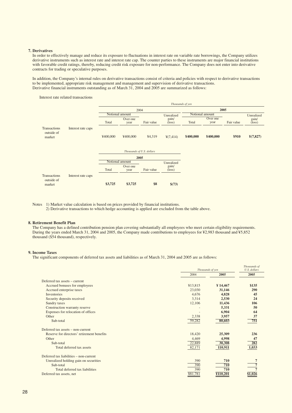#### **7. Derivatives**

In order to effectively manage and reduce its exposure to fluctuations in interest rate on variable rate borrowings, the Company utilizes derivative instruments such as interest rate and interest rate cap. The counter parties to these instruments are major financial institutions with favorable credit ratings, thereby, reducing credit risk exposure for non-performance. The Company does not enter into derivative contracts for trading or speculative purposes.

In addition, the Company's internal rules on derivative transactions consist of criteria and policies with respect to derivative transactions to be implemented, appropriate risk management and management and supervision of derivative transactions. Derivative financial instruments outstanding as of March 31, 2004 and 2005 are summarized as follows:

Interest rate related transactions

|                                             |                    | Thousands of yen |                  |                                   |                          |            |                  |                 |                          |            |
|---------------------------------------------|--------------------|------------------|------------------|-----------------------------------|--------------------------|------------|------------------|-----------------|--------------------------|------------|
|                                             |                    |                  |                  | 2004                              |                          |            |                  | 2005            |                          |            |
|                                             |                    |                  | Notional amount  |                                   |                          | Unrealized |                  | Notional amount |                          | Unrealized |
|                                             |                    | Total            | Over one<br>year | Fair value                        | gain/<br>$(\text{loss})$ | Total      | Over one<br>year | Fair value      | gain/<br>$(\text{loss})$ |            |
| <b>Transactions</b><br>outside of<br>market | Interest rate caps | ¥400,000         | ¥400,000         | ¥4,319                            | $\frac{1}{2}(7, 414)$    | ¥400,000   | ¥400,000         | ¥910            | Y(7, 827)                |            |
|                                             |                    |                  |                  | Thousands of U.S. dollars<br>2005 |                          |            |                  |                 |                          |            |
|                                             |                    | Notional amount  |                  |                                   | Unrealized               |            |                  |                 |                          |            |
|                                             |                    | Total            | Over one<br>year | Fair value                        | gain/<br>$(\text{loss})$ |            |                  |                 |                          |            |
| <b>Transactions</b><br>outside of<br>market | Interest rate caps | \$3,725          | \$3,725          | \$8                               | \$(73)                   |            |                  |                 |                          |            |

Notes 1) Market value calculation is based on prices provided by financial institutions.

2) Derivative transactions to which hedge accounting is applied are excluded from the table above.

#### **8. Retirement Benefit Plan**

The Company has a defined contribution pension plan covering substantially all employees who meet certain eligibility requirements. During the years ended March 31, 2004 and 2005, the Company made contributions to employees for ¥2,983 thousand and ¥5,852 thousand (\$54 thousand), respectively.

#### **9. Income Taxes**

The significant components of deferred tax assets and liabilities as of March 31, 2004 and 2005 are as follows:

|                                            | Thousands of yen |          | Thousands of<br>U.S. dollars |
|--------------------------------------------|------------------|----------|------------------------------|
|                                            | 2004             | 2005     | 2005                         |
| Deferred tax assets – current              |                  |          |                              |
| Accrued bonuses for employees              | ¥13,815          | ¥14,467  | \$135                        |
| Accrued enterprise taxes                   | 23,030           | 31,146   | 290                          |
| <b>Inventories</b>                         | 4,676            | 4,828    | 45                           |
| Security deposits received                 | 3,314            | 2,530    | 24                           |
| Sundry taxes                               | 12,106           | 11,436   | 106                          |
| Construction warranty reserve              |                  | 5,331    | 50                           |
| Expenses for relocation of offices         |                  | 6,904    | 64                           |
| Other                                      | 2,338            | 3,957    | 37                           |
| Sub-total                                  | 59,282           | 80,603   | 751                          |
| Deferred tax assets – non-current          |                  |          |                              |
| Reserve for directors' retirement benefits | 18,420           | 25,309   | 236                          |
| Other                                      | 4,469            | 4,998    | 47                           |
| Sub-total                                  | 22,889           | 30,308   | 282                          |
| Total deferred tax assets                  | 82,171           | 110,911  | 1,033                        |
| Deferred tax liabilities – non-current     |                  |          |                              |
| Unrealized holding gain on securities      | 390              | 710      | $\overline{7}$               |
| Sub-total                                  | 390              | 710      | $\overline{7}$               |
| Total deferred tax liabilities             | 390              | 710      |                              |
| Deferred tax assets, net                   | ¥81,781          | ¥110,201 | \$1,026                      |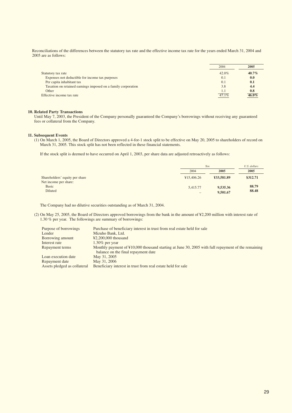Reconciliations of the differences between the statutory tax rate and the effective income tax rate for the years ended March 31, 2004 and 2005 are as follows:

|                                                               | 2004     | 2005     |
|---------------------------------------------------------------|----------|----------|
| Statutory tax rate                                            | $42.0\%$ | $40.7\%$ |
| Expenses not deductible for income tax purposes               | 0.1      | 0.0      |
| Per capita inhabitant tax                                     | (0.1)    | 0.1      |
| Taxation on retained earnings imposed on a family corporation | 3.8      | 4.4      |
| Other                                                         |          | 0.8      |
| Effective income tax rate                                     | $47.1\%$ | $46.0\%$ |

#### **10. Related Party Transactions**

Until May 7, 2003, the President of the Company personally guaranteed the Company's borrowings without receiving any guaranteed fees or collateral from the Company.

#### **11. Subsequent Events**

(1) On March 1, 2005, the Board of Directors approved a 4-for-1 stock split to be effective on May 20, 2005 to shareholders of record on March 31, 2005. This stock split has not been reflected in these financial statements.

If the stock split is deemed to have occurred on April 1, 2003, per share data are adjusted retroactively as follows:

|                                |                   | Yen        |          |
|--------------------------------|-------------------|------------|----------|
|                                | 2004              | 2005       | 2005     |
| Shareholders' equity per share | ¥15,406.26        | ¥33,581.89 | \$312.71 |
| Net income per share:          |                   |            |          |
| <b>Basic</b>                   | 5,415.77          | 9,535.36   | 88.79    |
| Diluted                        | $\qquad \qquad =$ | 9,501.67   | 88.48    |

The Company had no dilutive securities outstanding as of March 31, 2004.

(2) On May 25, 2005, the Board of Directors approved borrowings from the bank in the amount of ¥2,200 million with interest rate of 1.30 % per year. The followings are summary of borrowings:

| Purpose of borrowings        | Purchase of beneficiary interest in trust from real estate held for sale                                                                  |
|------------------------------|-------------------------------------------------------------------------------------------------------------------------------------------|
| Lender                       | Mizuho Bank, Ltd.                                                                                                                         |
| Borrowing amount             | $\textcolor{blue}{42,200,000}$ thousand                                                                                                   |
| Interest rate                | $1.30\%$ per year                                                                                                                         |
| Repayment terms              | Monthly payment of ¥10,000 thousand starting at June 30, 2005 with full repayment of the remaining<br>balance on the final repayment date |
| Loan execution date          | May 31, 2005                                                                                                                              |
| Repayment date               | May 31, 2006                                                                                                                              |
| Assets pledged as collateral | Beneficiary interest in trust from real estate held for sale                                                                              |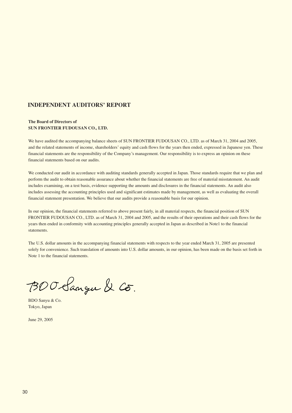# **INDEPENDENT AUDITORS' REPORT**

#### **The Board of Directors of SUN FRONTIER FUDOUSAN CO., LTD.**

We have audited the accompanying balance sheets of SUN FRONTIER FUDOUSAN CO., LTD. as of March 31, 2004 and 2005, and the related statements of income, shareholders' equity and cash flows for the years then ended, expressed in Japanese yen. These financial statements are the responsibility of the Company's management. Our responsibility is to express an opinion on these financial statements based on our audits.

We conducted our audit in accordance with auditing standards generally accepted in Japan. Those standards require that we plan and perform the audit to obtain reasonable assurance about whether the financial statements are free of material misstatement. An audit includes examining, on a test basis, evidence supporting the amounts and disclosures in the financial statements. An audit also includes assessing the accounting principles used and significant estimates made by management, as well as evaluating the overall financial statement presentation. We believe that our audits provide a reasonable basis for our opinion.

In our opinion, the financial statements referred to above present fairly, in all material respects, the financial position of SUN FRONTIER FUDOUSAN CO., LTD. as of March 31, 2004 and 2005, and the results of their operations and their cash flows for the years then ended in conformity with accounting principles generally accepted in Japan as described in Note1 to the financial statements.

The U.S. dollar amounts in the accompanying financial statements with respects to the year ended March 31, 2005 are presented solely for convenience. Such translation of amounts into U.S. dollar amounts, in our opinion, has been made on the basis set forth in Note 1 to the financial statements.

BOO Sangu & Co.

BDO Sanyu & Co. Tokyo, Japan

June 29, 2005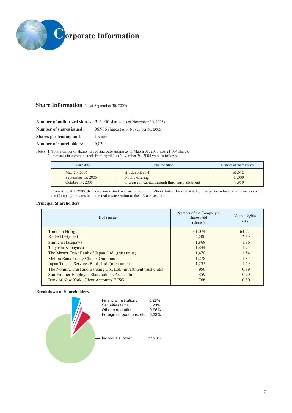

# **Share Information** (as of September 30, 2005)

|                          | <b>Number of authorized shares:</b> 316,950 shares (as of November 30, 2005) |
|--------------------------|------------------------------------------------------------------------------|
| Number of shares issued: | 96,966 shares (as of November 30, 2005)                                      |
| Shares per trading unit: | 1 share                                                                      |
| Number of shareholders:  | 6.039                                                                        |

Notes: 1. Total number of shares issued and outstanding as of March 31, 2005 was 21,004 shares.

2. Increases in common stock from April 1 to November 30, 2005 were as follows:

| Issue date           | Issue condition                                   | Number of share issued |  |
|----------------------|---------------------------------------------------|------------------------|--|
| May 20, 2005         | Stock split $(1:4)$                               | 63,012                 |  |
| September $15, 2005$ | Public offering                                   | 11.000<br>1.950        |  |
| October 14, 2005     | Increase in capital through third party allotment |                        |  |

3. From August 1, 2005, the Company's stock was included in the J-Stock Index. From that date, newspapers relocated information on the Company's shares from the real estate section to the J-Stock section.

#### **Principal Shareholders**

| Trade name                                                      | Number of the Company's<br>shares held<br>(shares) | Voting Rights<br>(%) |
|-----------------------------------------------------------------|----------------------------------------------------|----------------------|
| Tomoaki Horiguchi                                               | 61,074                                             | 64.27                |
| Keiko Horiguchi                                                 | 2.280                                              | 2.39                 |
| Shinichi Hasegawa                                               | 1.868                                              | 1.96                 |
| Tsuyoshi Kobayashi                                              | 1.844                                              | 1.94                 |
| The Master Trust Bank of Japan, Ltd. (trust units)              | 1.470                                              | 1.54                 |
| <b>Mellon Bank Treaty Clients Omnibus</b>                       | 1,278                                              | 1.34                 |
| Japan Trustee Services Bank, Ltd. (trust units)                 | 1.235                                              | 1.29                 |
| The Nomura Trust and Banking Co., Ltd. (investment trust units) | 950                                                | 0.99                 |
| Sun Frontier Employee Shareholders Association                  | 859                                                | 0.90                 |
| Bank of New York, Client Accounts E ISG                         | 766                                                | 0.80                 |
|                                                                 |                                                    |                      |

#### **Breakdown of Shareholders**

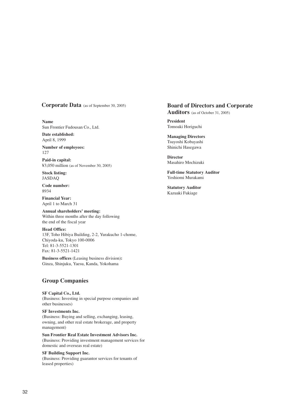**Name** Sun Frontier Fudousan Co., Ltd.

**Date established:** April 8, 1999

**Number of employees:**  127

**Paid-in capital:** ¥3,050 million (as of November 30, 2005)

**Stock listing:** JASDAQ

**Code number:** 8934

**Financial Year:**  April 1 to March 31

**Annual shareholders' meeting:**  Within three months after the day following the end of the fiscal year

**Head Office:** 13F, Toho Hibiya Building, 2-2, Yurakucho 1-chome, Chiyoda-ku, Tokyo 100-0006 Tel: 81-3-5521-1301 Fax: 81-3-5521-1421

**Business offices** (Leasing business division)**:** Ginza, Shinjuku, Yaesu, Kanda, Yokohama

# **Group Companies**

**SF Capital Co., Ltd.**  (Business: Investing in special purpose companies and other businesses)

#### **SF Investments Inc.**

(Business: Buying and selling, exchanging, leasing, owning, and other real estate brokerage, and property management)

**Sun Frontier Real Estate Investment Advisors Inc.**  (Business: Providing investment management services for domestic and overseas real estate)

#### **SF Building Support Inc.**

(Business: Providing guarantor services for tenants of leased properties)

# **Corporate Data** (as of September 30, 2005) **Board of Directors and Corporate**

**Auditors** (as of October 31, 2005)

**President**  Tomoaki Horiguchi

**Managing Directors**  Tsuyoshi Kobayashi Shinichi Hasegawa

**Director**  Masahiro Mochizuki

**Full-time Statutory Auditor**  Yoshiomi Murakami

**Statutory Auditor** Kazuaki Fukiage